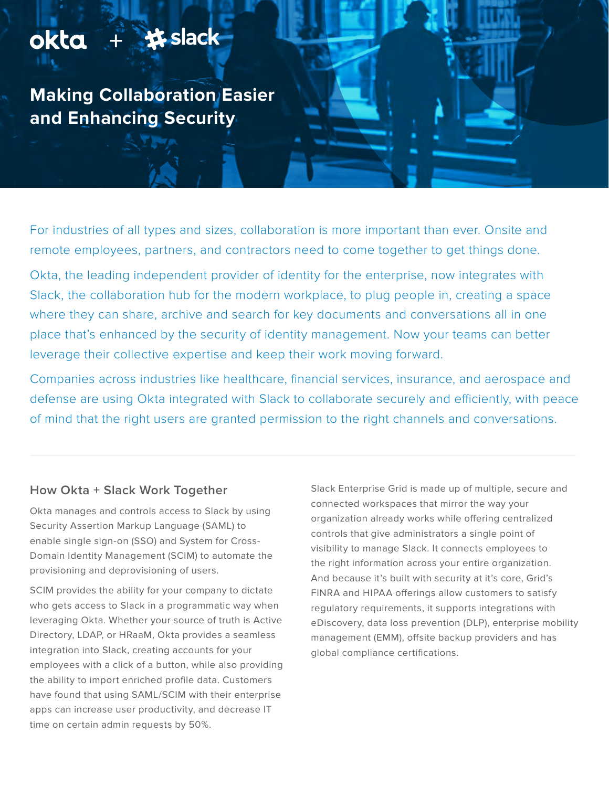## okta + # slack

**Making Collaboration Easier and Enhancing Security**

For industries of all types and sizes, collaboration is more important than ever. Onsite and remote employees, partners, and contractors need to come together to get things done.

Okta, the leading independent provider of identity for the enterprise, now integrates with Slack, the collaboration hub for the modern workplace, to plug people in, creating a space where they can share, archive and search for key documents and conversations all in one place that's enhanced by the security of identity management. Now your teams can better leverage their collective expertise and keep their work moving forward.

Companies across industries like healthcare, financial services, insurance, and aerospace and defense are using Okta integrated with Slack to collaborate securely and efficiently, with peace of mind that the right users are granted permission to the right channels and conversations.

## **How Okta + Slack Work Together**

Okta manages and controls access to Slack by using Security Assertion Markup Language (SAML) to enable single sign-on (SSO) and System for Cross-Domain Identity Management (SCIM) to automate the provisioning and deprovisioning of users.

SCIM provides the ability for your company to dictate who gets access to Slack in a programmatic way when leveraging Okta. Whether your source of truth is Active Directory, LDAP, or HRaaM, Okta provides a seamless integration into Slack, creating accounts for your employees with a click of a button, while also providing the ability to import enriched profile data. Customers have found that using SAML/SCIM with their enterprise apps can increase user productivity, and decrease IT time on certain admin requests by 50%.

Slack Enterprise Grid is made up of multiple, secure and connected workspaces that mirror the way your organization already works while offering centralized controls that give administrators a single point of visibility to manage Slack. It connects employees to the right information across your entire organization. And because it's built with security at it's core, Grid's FINRA and HIPAA offerings allow customers to satisfy regulatory requirements, it supports integrations with eDiscovery, data loss prevention (DLP), enterprise mobility management (EMM), offsite backup providers and has global compliance certifications.